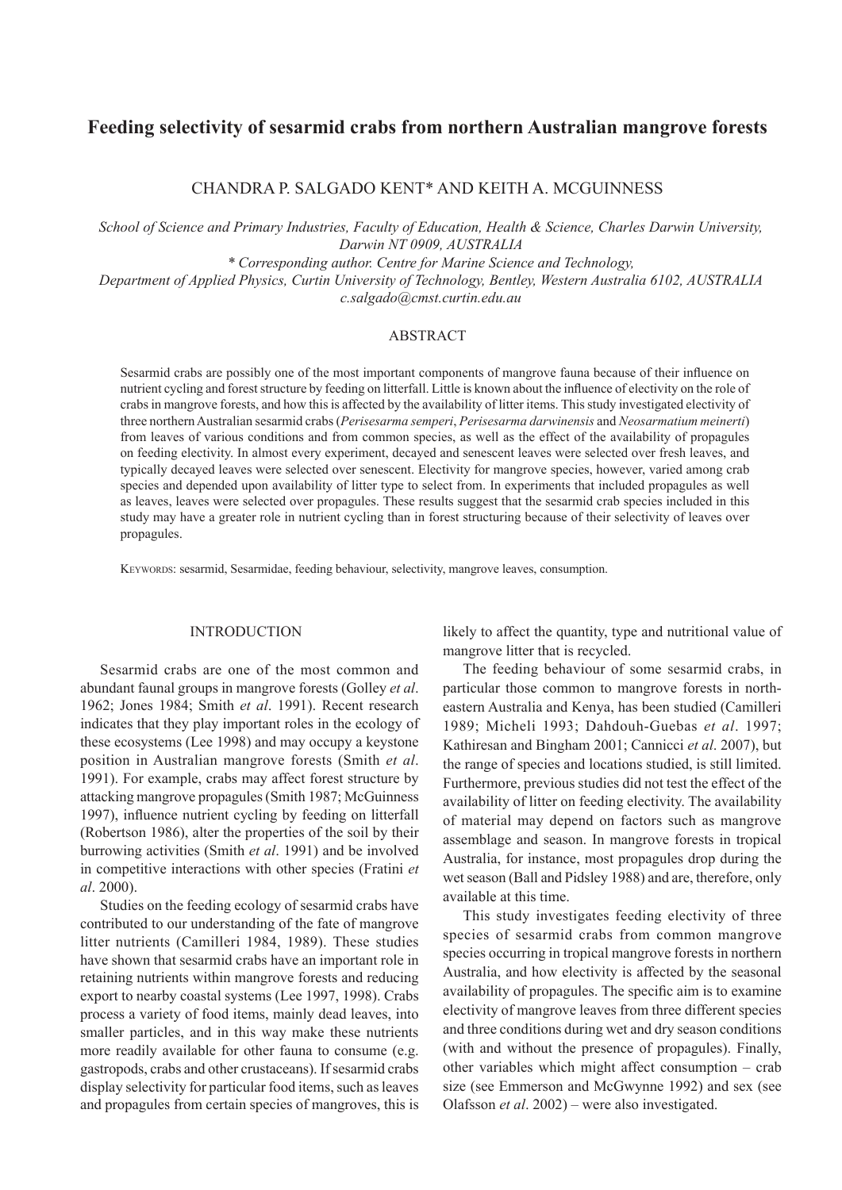# **Feeding selectivity of sesarmid crabs from northern Australian mangrove forests**

Chandra P. Salgado Kent\* and Keith A. McGuinness

*School of Science and Primary Industries, Faculty of Education, Health & Science, Charles Darwin University, Darwin NT 0909, AUSTRALIA*

*\* Corresponding author. Centre for Marine Science and Technology,* 

*Department of Applied Physics, Curtin University of Technology, Bentley, Western Australia 6102, Australia c.salgado@cmst.curtin.edu.au*

### **ABSTRACT**

Sesarmid crabs are possibly one of the most important components of mangrove fauna because of their influence on nutrient cycling and forest structure by feeding on litterfall. Little is known about the influence of electivity on the role of crabs in mangrove forests, and how this is affected by the availability of litter items. This study investigated electivity of three northern Australian sesarmid crabs (*Perisesarma semperi*, *Perisesarma darwinensis* and *Neosarmatium meinerti*) from leaves of various conditions and from common species, as well as the effect of the availability of propagules on feeding electivity. In almost every experiment, decayed and senescent leaves were selected over fresh leaves, and typically decayed leaves were selected over senescent. Electivity for mangrove species, however, varied among crab species and depended upon availability of litter type to select from. In experiments that included propagules as well as leaves, leaves were selected over propagules. These results suggest that the sesarmid crab species included in this study may have a greater role in nutrient cycling than in forest structuring because of their selectivity of leaves over propagules.

KEYWORDS: sesarmid, Sesarmidae, feeding behaviour, selectivity, mangrove leaves, consumption.

# **INTRODUCTION**

Sesarmid crabs are one of the most common and abundant faunal groups in mangrove forests (Golley *et al*. 1962; Jones 1984; Smith *et al*. 1991). Recent research indicates that they play important roles in the ecology of these ecosystems (Lee 1998) and may occupy a keystone position in Australian mangrove forests (Smith *et al*. 1991). For example, crabs may affect forest structure by attacking mangrove propagules (Smith 1987; McGuinness 1997), influence nutrient cycling by feeding on litterfall (Robertson 1986), alter the properties of the soil by their burrowing activities (Smith *et al*. 1991) and be involved in competitive interactions with other species (Fratini *et al*. 2000).

Studies on the feeding ecology of sesarmid crabs have contributed to our understanding of the fate of mangrove litter nutrients (Camilleri 1984, 1989). These studies have shown that sesarmid crabs have an important role in retaining nutrients within mangrove forests and reducing export to nearby coastal systems (Lee 1997, 1998). Crabs process a variety of food items, mainly dead leaves, into smaller particles, and in this way make these nutrients more readily available for other fauna to consume (e.g. gastropods, crabs and other crustaceans). If sesarmid crabs display selectivity for particular food items, such as leaves and propagules from certain species of mangroves, this is likely to affect the quantity, type and nutritional value of mangrove litter that is recycled.

The feeding behaviour of some sesarmid crabs, in particular those common to mangrove forests in northeastern Australia and Kenya, has been studied (Camilleri 1989; Micheli 1993; Dahdouh-Guebas *et al*. 1997; Kathiresan and Bingham 2001; Cannicci *et al*. 2007), but the range of species and locations studied, is still limited. Furthermore, previous studies did not test the effect of the availability of litter on feeding electivity. The availability of material may depend on factors such as mangrove assemblage and season. In mangrove forests in tropical Australia, for instance, most propagules drop during the wet season (Ball and Pidsley 1988) and are, therefore, only available at this time.

This study investigates feeding electivity of three species of sesarmid crabs from common mangrove species occurring in tropical mangrove forests in northern Australia, and how electivity is affected by the seasonal availability of propagules. The specific aim is to examine electivity of mangrove leaves from three different species and three conditions during wet and dry season conditions (with and without the presence of propagules). Finally, other variables which might affect consumption – crab size (see Emmerson and McGwynne 1992) and sex (see Olafsson *et al*. 2002) – were also investigated.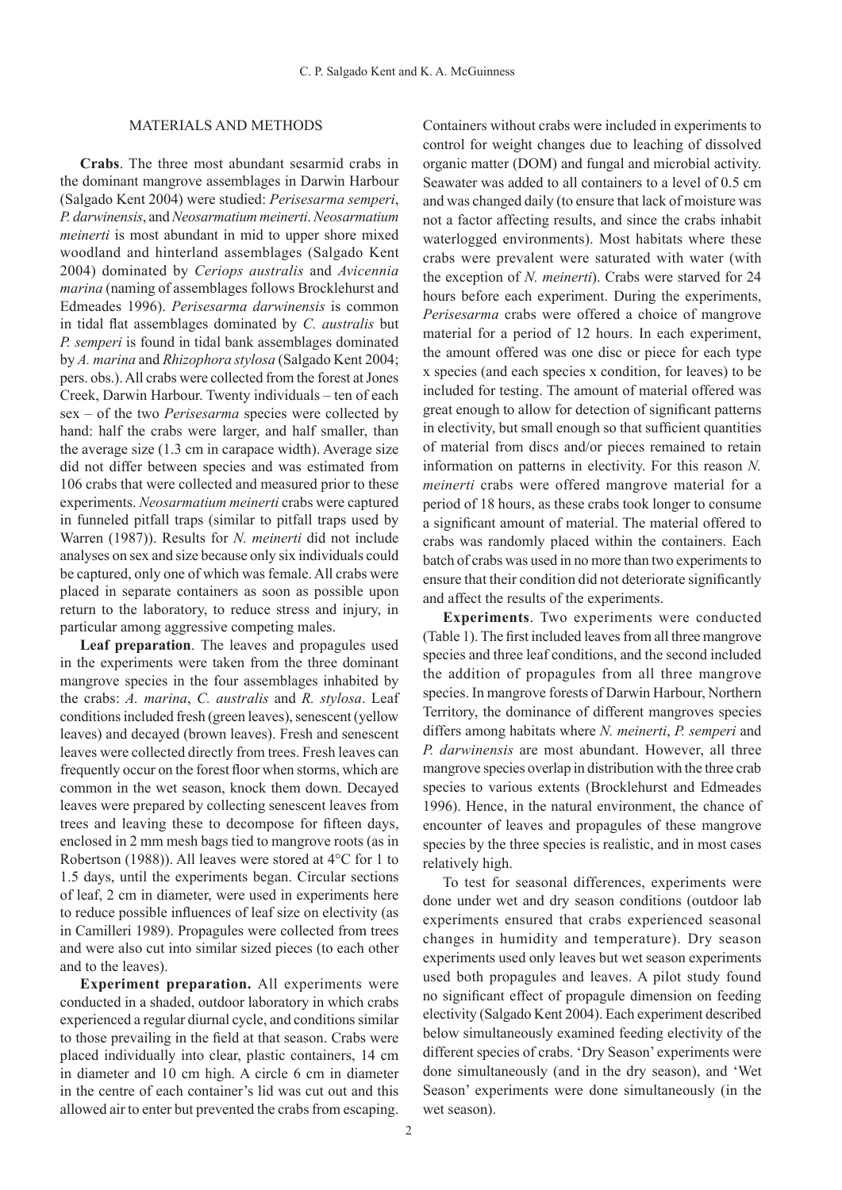### Materials and Methods

**Crabs**. The three most abundant sesarmid crabs in the dominant mangrove assemblages in Darwin Harbour (Salgado Kent 2004) were studied: *Perisesarma semperi*, *P. darwinensis*, and *Neosarmatium meinerti*. *Neosarmatium meinerti* is most abundant in mid to upper shore mixed woodland and hinterland assemblages (Salgado Kent 2004) dominated by *Ceriops australis* and *Avicennia marina* (naming of assemblages follows Brocklehurst and Edmeades 1996). *Perisesarma darwinensis* is common in tidal flat assemblages dominated by *C. australis* but *P. semperi* is found in tidal bank assemblages dominated by *A. marina* and *Rhizophora stylosa* (Salgado Kent 2004; pers. obs.). All crabs were collected from the forest at Jones Creek, Darwin Harbour. Twenty individuals – ten of each sex – of the two *Perisesarma* species were collected by hand: half the crabs were larger, and half smaller, than the average size (1.3 cm in carapace width). Average size did not differ between species and was estimated from 106 crabs that were collected and measured prior to these experiments. *Neosarmatium meinerti* crabs were captured in funneled pitfall traps (similar to pitfall traps used by Warren (1987)). Results for *N. meinerti* did not include analyses on sex and size because only six individuals could be captured, only one of which was female. All crabs were placed in separate containers as soon as possible upon return to the laboratory, to reduce stress and injury, in particular among aggressive competing males.

**Leaf preparation**. The leaves and propagules used in the experiments were taken from the three dominant mangrove species in the four assemblages inhabited by the crabs: *A. marina*, *C. australis* and *R. stylosa*. Leaf conditions included fresh (green leaves), senescent (yellow leaves) and decayed (brown leaves). Fresh and senescent leaves were collected directly from trees. Fresh leaves can frequently occur on the forest floor when storms, which are common in the wet season, knock them down. Decayed leaves were prepared by collecting senescent leaves from trees and leaving these to decompose for fifteen days, enclosed in 2 mm mesh bags tied to mangrove roots (as in Robertson (1988)). All leaves were stored at 4°C for 1 to 1.5 days, until the experiments began. Circular sections of leaf, 2 cm in diameter, were used in experiments here to reduce possible influences of leaf size on electivity (as in Camilleri 1989). Propagules were collected from trees and were also cut into similar sized pieces (to each other and to the leaves).

**Experiment preparation.** All experiments were conducted in a shaded, outdoor laboratory in which crabs experienced a regular diurnal cycle, and conditions similar to those prevailing in the field at that season. Crabs were placed individually into clear, plastic containers, 14 cm in diameter and 10 cm high. A circle 6 cm in diameter in the centre of each container's lid was cut out and this allowed air to enter but prevented the crabs from escaping.

Containers without crabs were included in experiments to control for weight changes due to leaching of dissolved organic matter (DOM) and fungal and microbial activity. Seawater was added to all containers to a level of 0.5 cm and was changed daily (to ensure that lack of moisture was not a factor affecting results, and since the crabs inhabit waterlogged environments). Most habitats where these crabs were prevalent were saturated with water (with the exception of *N. meinerti*). Crabs were starved for 24 hours before each experiment. During the experiments, *Perisesarma* crabs were offered a choice of mangrove material for a period of 12 hours. In each experiment, the amount offered was one disc or piece for each type x species (and each species x condition, for leaves) to be included for testing. The amount of material offered was great enough to allow for detection of significant patterns in electivity, but small enough so that sufficient quantities of material from discs and/or pieces remained to retain information on patterns in electivity. For this reason *N. meinerti* crabs were offered mangrove material for a period of 18 hours, as these crabs took longer to consume a significant amount of material. The material offered to crabs was randomly placed within the containers. Each batch of crabs was used in no more than two experiments to ensure that their condition did not deteriorate significantly and affect the results of the experiments.

**Experiments**. Two experiments were conducted (Table 1). The first included leaves from all three mangrove species and three leaf conditions, and the second included the addition of propagules from all three mangrove species. In mangrove forests of Darwin Harbour, Northern Territory, the dominance of different mangroves species differs among habitats where *N. meinerti*, *P. semperi* and *P. darwinensis* are most abundant. However, all three mangrove species overlap in distribution with the three crab species to various extents (Brocklehurst and Edmeades 1996). Hence, in the natural environment, the chance of encounter of leaves and propagules of these mangrove species by the three species is realistic, and in most cases relatively high.

To test for seasonal differences, experiments were done under wet and dry season conditions (outdoor lab experiments ensured that crabs experienced seasonal changes in humidity and temperature). Dry season experiments used only leaves but wet season experiments used both propagules and leaves. A pilot study found no significant effect of propagule dimension on feeding electivity (Salgado Kent 2004). Each experiment described below simultaneously examined feeding electivity of the different species of crabs. 'Dry Season' experiments were done simultaneously (and in the dry season), and 'Wet Season' experiments were done simultaneously (in the wet season).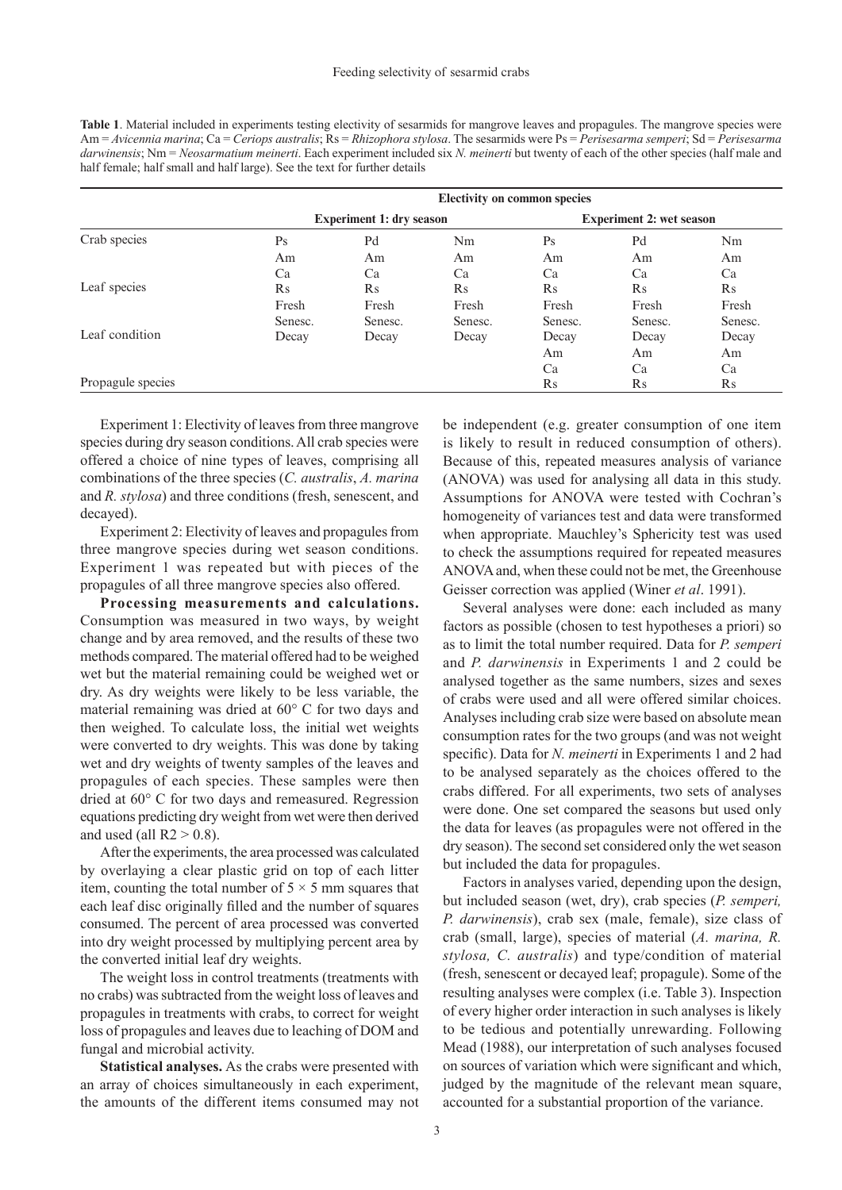**Table 1**. Material included in experiments testing electivity of sesarmids for mangrove leaves and propagules. The mangrove species were Am = *Avicennia marina*; Ca = *Ceriops australis*; Rs = *Rhizophora stylosa*. The sesarmids were Ps = *Perisesarma semperi*; Sd = *Perisesarma darwinensis*; Nm = *Neosarmatium meinerti*. Each experiment included six *N. meinerti* but twenty of each of the other species (half male and half female; half small and half large). See the text for further details

|                   | <b>Electivity on common species</b> |          |           |                                 |           |          |  |
|-------------------|-------------------------------------|----------|-----------|---------------------------------|-----------|----------|--|
| Crab species      | <b>Experiment 1: dry season</b>     |          |           | <b>Experiment 2: wet season</b> |           |          |  |
|                   | Ps                                  | Pd       | Nm        | Ps                              | Pd        | Nm       |  |
|                   | Am                                  | Am       | Am        | Am                              | Am        | Am       |  |
|                   | Ca                                  | Ca       | Ca        | Ca                              | Ca        | Ca       |  |
| Leaf species      | $\rm Rs$                            | $\rm Rs$ | <b>Rs</b> | Rs                              | <b>Rs</b> | $\rm Rs$ |  |
|                   | Fresh                               | Fresh    | Fresh     | Fresh                           | Fresh     | Fresh    |  |
|                   | Senesc.                             | Senesc.  | Senesc.   | Senesc.                         | Senesc.   | Senesc.  |  |
| Leaf condition    | Decay                               | Decay    | Decay     | Decay                           | Decay     | Decay    |  |
|                   |                                     |          |           | Am                              | Am        | Am       |  |
|                   |                                     |          |           | Ca                              | Ca        | Ca       |  |
| Propagule species |                                     |          |           | Rs                              | $\rm Rs$  | $\rm Rs$ |  |

Experiment 1: Electivity of leaves from three mangrove species during dry season conditions. All crab species were offered a choice of nine types of leaves, comprising all combinations of the three species (*C. australis*, *A. marina*  and *R. stylosa*) and three conditions (fresh, senescent, and decayed).

Experiment 2: Electivity of leaves and propagules from three mangrove species during wet season conditions. Experiment 1 was repeated but with pieces of the propagules of all three mangrove species also offered.

**Processing measurements and calculations.**  Consumption was measured in two ways, by weight change and by area removed, and the results of these two methods compared. The material offered had to be weighed wet but the material remaining could be weighed wet or dry. As dry weights were likely to be less variable, the material remaining was dried at 60° C for two days and then weighed. To calculate loss, the initial wet weights were converted to dry weights. This was done by taking wet and dry weights of twenty samples of the leaves and propagules of each species. These samples were then dried at 60° C for two days and remeasured. Regression equations predicting dry weight from wet were then derived and used (all  $R2 > 0.8$ ).

After the experiments, the area processed was calculated by overlaying a clear plastic grid on top of each litter item, counting the total number of  $5 \times 5$  mm squares that each leaf disc originally filled and the number of squares consumed. The percent of area processed was converted into dry weight processed by multiplying percent area by the converted initial leaf dry weights.

The weight loss in control treatments (treatments with no crabs) was subtracted from the weight loss of leaves and propagules in treatments with crabs, to correct for weight loss of propagules and leaves due to leaching of DOM and fungal and microbial activity.

**Statistical analyses.** As the crabs were presented with an array of choices simultaneously in each experiment, the amounts of the different items consumed may not be independent (e.g. greater consumption of one item is likely to result in reduced consumption of others). Because of this, repeated measures analysis of variance (ANOVA) was used for analysing all data in this study. Assumptions for ANOVA were tested with Cochran's homogeneity of variances test and data were transformed when appropriate. Mauchley's Sphericity test was used to check the assumptions required for repeated measures ANOVA and, when these could not be met, the Greenhouse Geisser correction was applied (Winer *et al*. 1991).

Several analyses were done: each included as many factors as possible (chosen to test hypotheses a priori) so as to limit the total number required. Data for *P. semperi*  and *P. darwinensis* in Experiments 1 and 2 could be analysed together as the same numbers, sizes and sexes of crabs were used and all were offered similar choices. Analyses including crab size were based on absolute mean consumption rates for the two groups (and was not weight specific). Data for *N. meinerti* in Experiments 1 and 2 had to be analysed separately as the choices offered to the crabs differed. For all experiments, two sets of analyses were done. One set compared the seasons but used only the data for leaves (as propagules were not offered in the dry season). The second set considered only the wet season but included the data for propagules.

Factors in analyses varied, depending upon the design, but included season (wet, dry), crab species (*P. semperi, P. darwinensis*), crab sex (male, female), size class of crab (small, large), species of material (*A. marina, R. stylosa, C. australis*) and type/condition of material (fresh, senescent or decayed leaf; propagule). Some of the resulting analyses were complex (i.e. Table 3). Inspection of every higher order interaction in such analyses is likely to be tedious and potentially unrewarding. Following Mead (1988), our interpretation of such analyses focused on sources of variation which were significant and which, judged by the magnitude of the relevant mean square, accounted for a substantial proportion of the variance.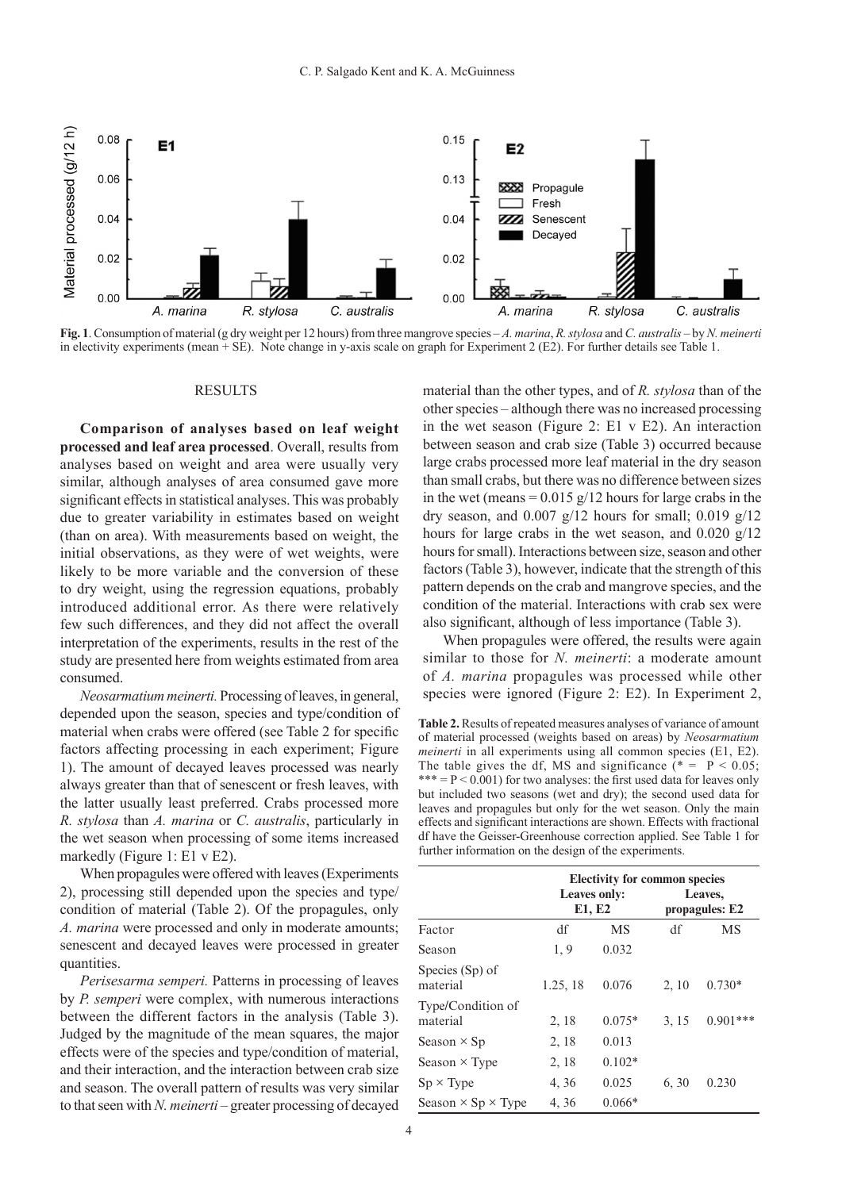

**Fig. 1**. Consumption of material (g dry weight per 12 hours) from three mangrove species – *A. marina*, *R. stylosa* and *C. australis* – by *N. meinerti*  in electivity experiments (mean + SE). Note change in y-axis scale on graph for Experiment 2 (E2). For further details see Table 1.

#### **RESULTS**

**Comparison of analyses based on leaf weight processed and leaf area processed**. Overall, results from analyses based on weight and area were usually very similar, although analyses of area consumed gave more significant effects in statistical analyses. This was probably due to greater variability in estimates based on weight (than on area). With measurements based on weight, the initial observations, as they were of wet weights, were likely to be more variable and the conversion of these to dry weight, using the regression equations, probably introduced additional error. As there were relatively few such differences, and they did not affect the overall interpretation of the experiments, results in the rest of the study are presented here from weights estimated from area consumed.

*Neosarmatium meinerti.* Processing of leaves, in general, depended upon the season, species and type/condition of material when crabs were offered (see Table 2 for specific factors affecting processing in each experiment; Figure 1). The amount of decayed leaves processed was nearly always greater than that of senescent or fresh leaves, with the latter usually least preferred. Crabs processed more *R. stylosa* than *A. marina* or *C. australis*, particularly in the wet season when processing of some items increased markedly (Figure 1: E1 v E2).

When propagules were offered with leaves (Experiments 2), processing still depended upon the species and type/ condition of material (Table 2). Of the propagules, only *A. marina* were processed and only in moderate amounts; senescent and decayed leaves were processed in greater quantities.

*Perisesarma semperi.* Patterns in processing of leaves by *P. semperi* were complex, with numerous interactions between the different factors in the analysis (Table 3). Judged by the magnitude of the mean squares, the major effects were of the species and type/condition of material, and their interaction, and the interaction between crab size and season. The overall pattern of results was very similar to that seen with *N. meinerti* – greater processing of decayed

material than the other types, and of *R. stylosa* than of the other species – although there was no increased processing in the wet season (Figure 2: E1 v E2). An interaction between season and crab size (Table 3) occurred because large crabs processed more leaf material in the dry season than small crabs, but there was no difference between sizes in the wet (means =  $0.015$  g/12 hours for large crabs in the dry season, and  $0.007$  g/12 hours for small;  $0.019$  g/12 hours for large crabs in the wet season, and  $0.020$  g/12 hours for small). Interactions between size, season and other factors (Table 3), however, indicate that the strength of this pattern depends on the crab and mangrove species, and the condition of the material. Interactions with crab sex were also significant, although of less importance (Table 3).

When propagules were offered, the results were again similar to those for *N. meinerti*: a moderate amount of *A. marina* propagules was processed while other species were ignored (Figure 2: E2). In Experiment 2,

**Table 2.** Results of repeated measures analyses of variance of amount of material processed (weights based on areas) by *Neosarmatium meinerti* in all experiments using all common species (E1, E2). The table gives the df, MS and significance  $(* = P < 0.05;$ \*\*\*  $= P < 0.001$ ) for two analyses: the first used data for leaves only but included two seasons (wet and dry); the second used data for leaves and propagules but only for the wet season. Only the main effects and significant interactions are shown. Effects with fractional df have the Geisser-Greenhouse correction applied. See Table 1 for further information on the design of the experiments.

|                                  | <b>Leaves only:</b><br>E1, E2 |          |       | <b>Electivity for common species</b><br>Leaves,<br>propagules: E2 |  |  |
|----------------------------------|-------------------------------|----------|-------|-------------------------------------------------------------------|--|--|
| Factor                           | df                            | MS       | df    | MS                                                                |  |  |
| Season                           | 1,9                           | 0.032    |       |                                                                   |  |  |
| Species (Sp) of<br>material      | 1.25, 18                      | 0.076    | 2, 10 | $0.730*$                                                          |  |  |
| Type/Condition of<br>material    | 2, 18                         | $0.075*$ | 3, 15 | $0.901***$                                                        |  |  |
| Season $\times$ Sp               | 2, 18                         | 0.013    |       |                                                                   |  |  |
| Season $\times$ Type             | 2, 18                         | $0.102*$ |       |                                                                   |  |  |
| $Sp \times Type$                 | 4, 36                         | 0.025    | 6, 30 | 0.230                                                             |  |  |
| Season $\times$ Sp $\times$ Type | 4, 36                         | $0.066*$ |       |                                                                   |  |  |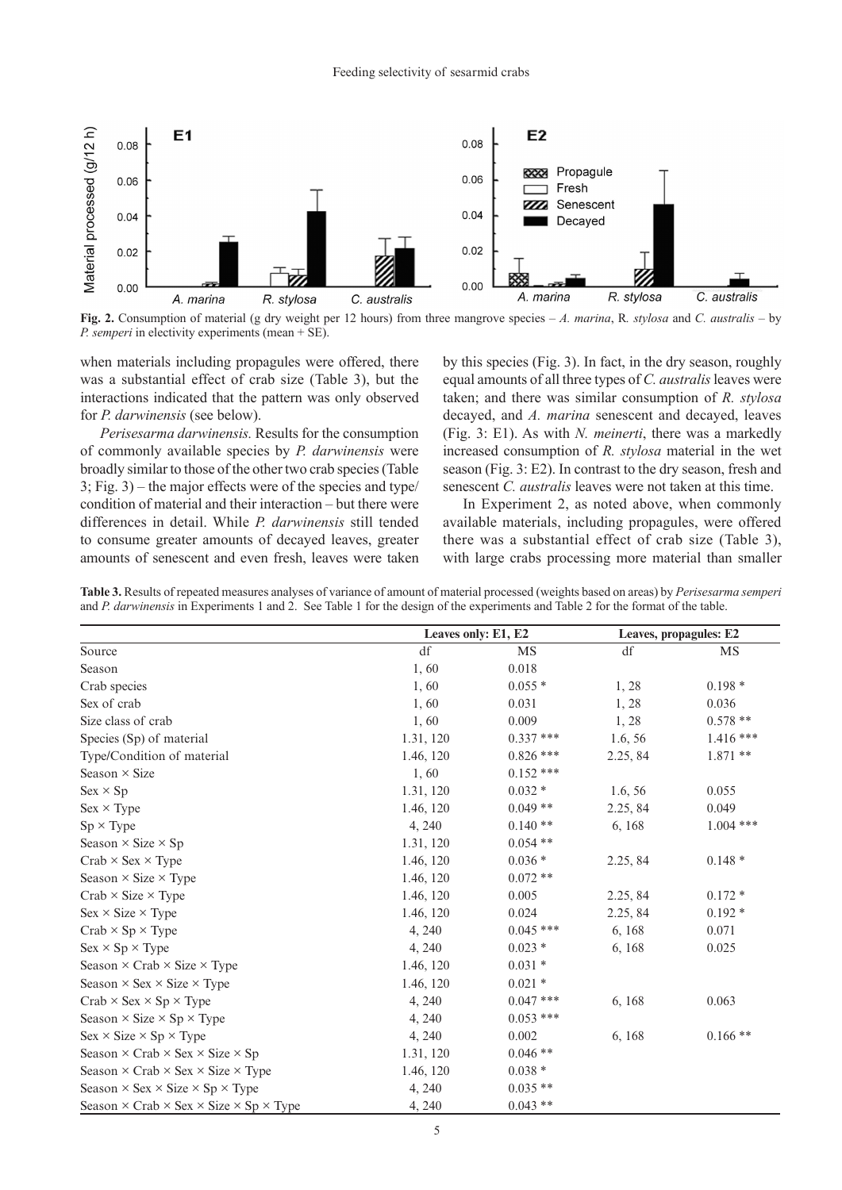

**Fig. 2.** Consumption of material (g dry weight per 12 hours) from three mangrove species – *A. marina*, R*. stylosa* and *C. australis* – by *P. semperi* in electivity experiments (mean + SE).

when materials including propagules were offered, there was a substantial effect of crab size (Table 3), but the interactions indicated that the pattern was only observed for *P. darwinensis* (see below).

*Perisesarma darwinensis.* Results for the consumption of commonly available species by *P. darwinensis* were broadly similar to those of the other two crab species (Table 3; Fig. 3) – the major effects were of the species and type/ condition of material and their interaction – but there were differences in detail. While *P. darwinensis* still tended to consume greater amounts of decayed leaves, greater amounts of senescent and even fresh, leaves were taken by this species (Fig. 3). In fact, in the dry season, roughly equal amounts of all three types of *C. australis* leaves were taken; and there was similar consumption of *R. stylosa*  decayed, and *A. marina* senescent and decayed, leaves (Fig. 3: E1). As with *N. meinerti*, there was a markedly increased consumption of *R. stylosa* material in the wet season (Fig. 3: E2). In contrast to the dry season, fresh and senescent *C. australis* leaves were not taken at this time.

In Experiment 2, as noted above, when commonly available materials, including propagules, were offered there was a substantial effect of crab size (Table 3), with large crabs processing more material than smaller

|                                                                                                                                          | Table 3. Results of repeated measures analyses of variance of amount of material processed (weights based on areas) by Perisesarma semperi |
|------------------------------------------------------------------------------------------------------------------------------------------|--------------------------------------------------------------------------------------------------------------------------------------------|
| and <i>P. darwinensis</i> in Experiments 1 and 2. See Table 1 for the design of the experiments and Table 2 for the format of the table. |                                                                                                                                            |

|                                                                           | Leaves only: E1, E2 |             | Leaves, propagules: E2 |             |
|---------------------------------------------------------------------------|---------------------|-------------|------------------------|-------------|
| Source                                                                    | df                  | <b>MS</b>   | df                     | MS          |
| Season                                                                    | 1,60                | 0.018       |                        |             |
| Crab species                                                              | 1,60                | $0.055*$    | 1,28                   | $0.198*$    |
| Sex of crab                                                               | 1,60                | 0.031       | 1,28                   | 0.036       |
| Size class of crab                                                        | 1,60                | 0.009       | 1,28                   | $0.578**$   |
| Species (Sp) of material                                                  | 1.31, 120           | $0.337$ *** | 1.6, 56                | $1.416***$  |
| Type/Condition of material                                                | 1.46, 120           | $0.826$ *** | 2.25, 84               | $1.871**$   |
| Season $\times$ Size                                                      | 1,60                | $0.152$ *** |                        |             |
| $Sex \times Sp$                                                           | 1.31, 120           | $0.032*$    | 1.6, 56                | 0.055       |
| $Sex \times Type$                                                         | 1.46, 120           | $0.049**$   | 2.25, 84               | 0.049       |
| $Sp \times Type$                                                          | 4, 240              | $0.140**$   | 6,168                  | $1.004$ *** |
| Season $\times$ Size $\times$ Sp                                          | 1.31, 120           | $0.054$ **  |                        |             |
| $Crab \times Sex \times Type$                                             | 1.46, 120           | $0.036*$    | 2.25, 84               | $0.148*$    |
| Season $\times$ Size $\times$ Type                                        | 1.46, 120           | $0.072**$   |                        |             |
| $Crab \times Size \times Type$                                            | 1.46, 120           | 0.005       | 2.25, 84               | $0.172*$    |
| $Sex \times Size \times Type$                                             | 1.46, 120           | 0.024       | 2.25, 84               | $0.192*$    |
| $Crab \times Sp \times Type$                                              | 4, 240              | $0.045$ *** | 6,168                  | 0.071       |
| $Sex \times Sp \times Type$                                               | 4, 240              | $0.023*$    | 6,168                  | 0.025       |
| Season $\times$ Crab $\times$ Size $\times$ Type                          | 1.46, 120           | $0.031*$    |                        |             |
| Season $\times$ Sex $\times$ Size $\times$ Type                           | 1.46, 120           | $0.021$ *   |                        |             |
| $Crab \times Sex \times Sp \times Type$                                   | 4, 240              | $0.047$ *** | 6, 168                 | 0.063       |
| Season $\times$ Size $\times$ Sp $\times$ Type                            | 4, 240              | $0.053$ *** |                        |             |
| $Sex \times Size \times Sp \times Type$                                   | 4, 240              | 0.002       | 6,168                  | $0.166**$   |
| Season $\times$ Crab $\times$ Sex $\times$ Size $\times$ Sp               | 1.31, 120           | $0.046**$   |                        |             |
| Season $\times$ Crab $\times$ Sex $\times$ Size $\times$ Type             | 1.46, 120           | $0.038 *$   |                        |             |
| Season $\times$ Sex $\times$ Size $\times$ Sp $\times$ Type               | 4, 240              | $0.035**$   |                        |             |
| Season $\times$ Crab $\times$ Sex $\times$ Size $\times$ Sp $\times$ Type | 4,240               | $0.043**$   |                        |             |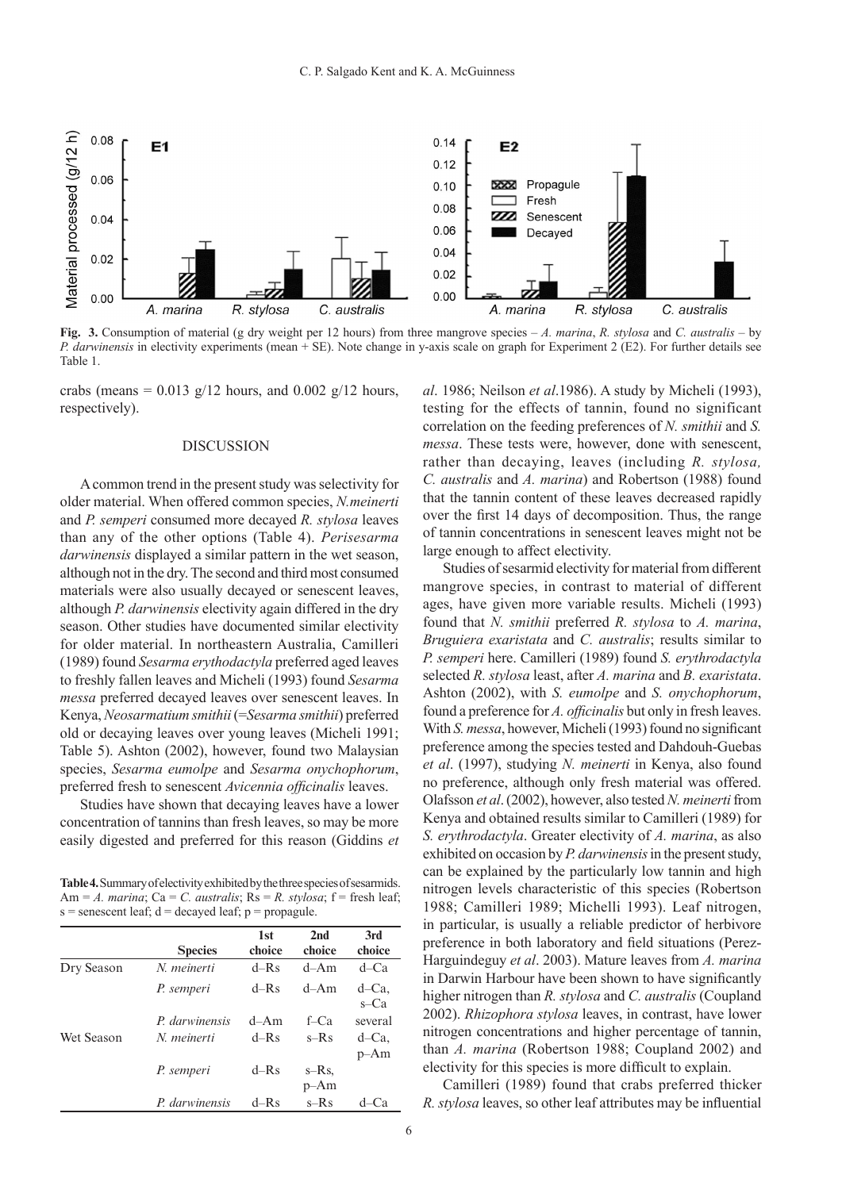

**Fig. 3.** Consumption of material (g dry weight per 12 hours) from three mangrove species – *A. marina*, *R. stylosa* and *C. australis* – by *P. darwinensis* in electivity experiments (mean + SE). Note change in y-axis scale on graph for Experiment 2 (E2). For further details see Table 1.

crabs (means =  $0.013$  g/12 hours, and  $0.002$  g/12 hours, respectively).

### **DISCUSSION**

A common trend in the present study was selectivity for older material. When offered common species, *N.meinerti*  and *P. semperi* consumed more decayed *R. stylosa* leaves than any of the other options (Table 4). *Perisesarma darwinensis* displayed a similar pattern in the wet season, although not in the dry. The second and third most consumed materials were also usually decayed or senescent leaves, although *P. darwinensis* electivity again differed in the dry season. Other studies have documented similar electivity for older material. In northeastern Australia, Camilleri (1989) found *Sesarma erythodactyla* preferred aged leaves to freshly fallen leaves and Micheli (1993) found *Sesarma messa* preferred decayed leaves over senescent leaves. In Kenya, *Neosarmatium smithii* (=*Sesarma smithii*) preferred old or decaying leaves over young leaves (Micheli 1991; Table 5). Ashton (2002), however, found two Malaysian species, *Sesarma eumolpe* and *Sesarma onychophorum*, preferred fresh to senescent *Avicennia officinalis* leaves.

Studies have shown that decaying leaves have a lower concentration of tannins than fresh leaves, so may be more easily digested and preferred for this reason (Giddins *et* 

**Table 4.** Summary of electivity exhibited by the three species of sesarmids. Am =  $A$ . *marina*; Ca =  $C$ . *australis*; Rs =  $R$ . *stylosa*; f = fresh leaf;  $s =$  senescent leaf;  $d =$  decayed leaf;  $p =$  propagule.

| 1st                                                                                                          |                           |                 |
|--------------------------------------------------------------------------------------------------------------|---------------------------|-----------------|
| choice                                                                                                       | 2 <sub>nd</sub><br>choice | 3rd<br>choice   |
| $d-Rs$                                                                                                       | $d$ -Am                   | $d$ –Ca         |
| $d-Rs$                                                                                                       | $d-Am$                    | d-Ca.<br>s-Ca   |
| $d$ -Am                                                                                                      | $f$ –Ca                   | several         |
| $d-Rs$                                                                                                       | $s-Rs$                    | d-Ca.<br>$p-Am$ |
| $d-Rs$                                                                                                       | s-Rs.<br>$p-Am$           |                 |
| $d-Rs$                                                                                                       | $s-Rs$                    | d–Ca            |
| <b>Species</b><br>N. meinerti<br>P. semperi<br>P. darwinensis<br>N. meinerti<br>P. semperi<br>P. darwinensis |                           |                 |

*al*. 1986; Neilson *et al*.1986). A study by Micheli (1993), testing for the effects of tannin, found no significant correlation on the feeding preferences of *N. smithii* and *S. messa*. These tests were, however, done with senescent, rather than decaying, leaves (including *R. stylosa, C. australis* and *A. marina*) and Robertson (1988) found that the tannin content of these leaves decreased rapidly over the first 14 days of decomposition. Thus, the range of tannin concentrations in senescent leaves might not be large enough to affect electivity.

Studies of sesarmid electivity for material from different mangrove species, in contrast to material of different ages, have given more variable results. Micheli (1993) found that *N. smithii* preferred *R. stylosa* to *A. marina*, *Bruguiera exaristata* and *C. australis*; results similar to *P. semperi* here. Camilleri (1989) found *S. erythrodactyla* selected *R. stylosa* least, after *A. marina* and *B. exaristata*. Ashton (2002), with *S. eumolpe* and *S. onychophorum*, found a preference for *A. officinalis* but only in fresh leaves. With *S. messa*, however, Micheli (1993) found no significant preference among the species tested and Dahdouh-Guebas *et al*. (1997), studying *N. meinerti* in Kenya, also found no preference, although only fresh material was offered. Olafsson *et al*. (2002), however, also tested *N. meinerti* from Kenya and obtained results similar to Camilleri (1989) for *S. erythrodactyla*. Greater electivity of *A. marina*, as also exhibited on occasion by *P. darwinensis* in the present study, can be explained by the particularly low tannin and high nitrogen levels characteristic of this species (Robertson 1988; Camilleri 1989; Michelli 1993). Leaf nitrogen, in particular, is usually a reliable predictor of herbivore preference in both laboratory and field situations (Perez-Harguindeguy *et al*. 2003). Mature leaves from *A. marina*  in Darwin Harbour have been shown to have significantly higher nitrogen than *R. stylosa* and *C. australis* (Coupland 2002). *Rhizophora stylosa* leaves, in contrast, have lower nitrogen concentrations and higher percentage of tannin, than *A. marina* (Robertson 1988; Coupland 2002) and electivity for this species is more difficult to explain.

Camilleri (1989) found that crabs preferred thicker *R.stylosa* leaves, so other leaf attributes may be influential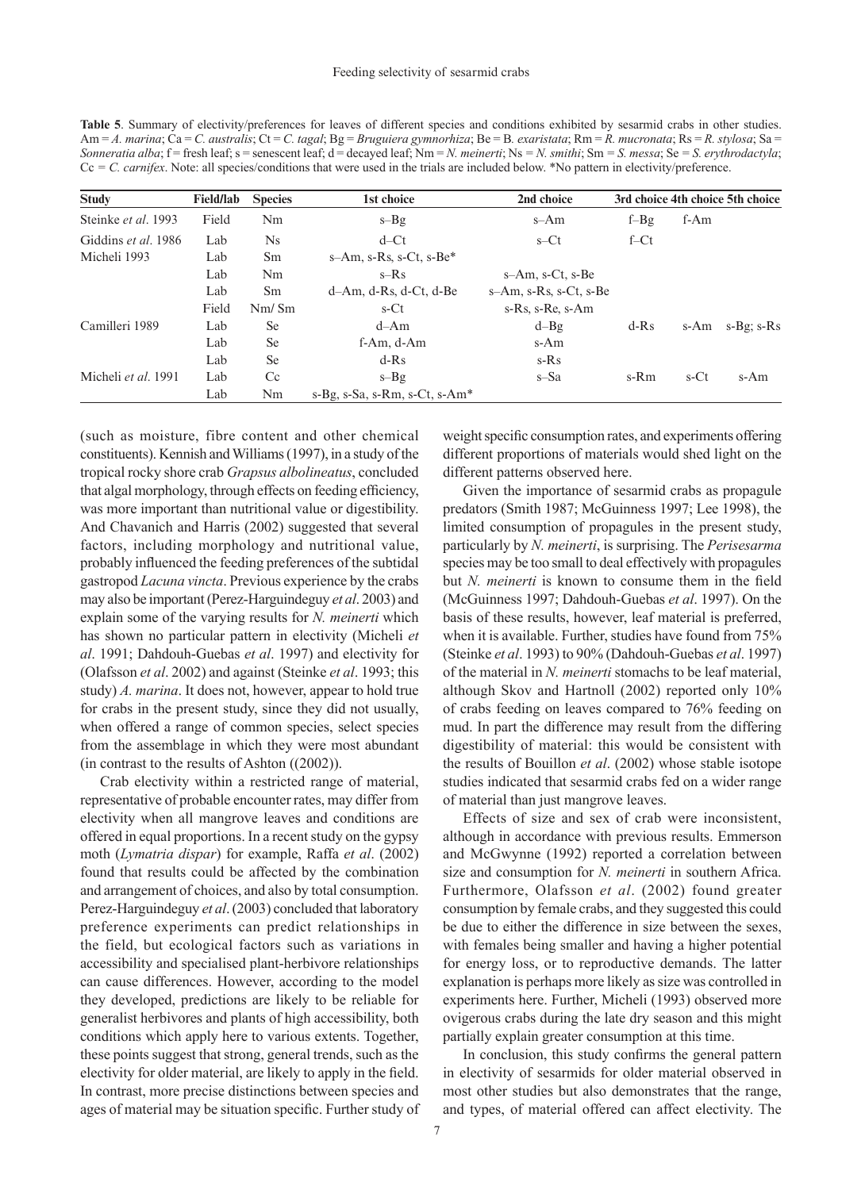**Table 5**. Summary of electivity/preferences for leaves of different species and conditions exhibited by sesarmid crabs in other studies. Am = *A. marina*; Ca = *C. australis*; Ct = *C. tagal*; Bg = *Bruguiera gymnorhiza*; Be = B*. exaristata*; Rm = *R. mucronata*; Rs = *R. stylosa*; Sa = *Sonneratia alba*; f = fresh leaf; s = senescent leaf; d = decayed leaf; Nm = *N. meinerti*; Ns = *N. smithi*; Sm = *S. messa*; Se = *S. erythrodactyla*; Cc *= C. carnifex*. Note: all species/conditions that were used in the trials are included below. \*No pattern in electivity/preference.

| <b>Study</b>        | <b>Field/lab</b> | <b>Species</b> | 1st choice                             | 2nd choice                |         |         | 3rd choice 4th choice 5th choice |
|---------------------|------------------|----------------|----------------------------------------|---------------------------|---------|---------|----------------------------------|
| Steinke et al. 1993 | Field            | Nm             | $s-Bg$                                 | s-Am                      | $f-Bg$  | f-Am    |                                  |
| Giddins et al. 1986 | Lab              | <b>Ns</b>      | $d$ –Ct                                | $s$ –Ct                   | $f$ –Ct |         |                                  |
| Micheli 1993        | Lab              | Sm             | $s$ -Am, $s$ -Rs, $s$ -Ct, $s$ -Be $*$ |                           |         |         |                                  |
|                     | Lab              | Nm             | $s-Rs$                                 | $s-Am$ , $s- Ct$ , $s-Be$ |         |         |                                  |
|                     | Lab              | <sub>Sm</sub>  | $d-Am$ , $d-Rs$ , $d- Ct$ , $d-Be$     | s-Am, s-Rs, s-Ct, s-Be    |         |         |                                  |
|                     | Field            | Nm/Sm          | s-Ct                                   | s-Rs, s-Re, s-Am          |         |         |                                  |
| Camilleri 1989      | Lab              | <b>Se</b>      | $d$ -Am                                | $d - Bg$                  | $d-Rs$  | s-Am    | $s-Bg$ ; $s-Rs$                  |
|                     | Lab              | <b>Se</b>      | f-Am, d-Am                             | s-Am                      |         |         |                                  |
|                     | Lab              | <b>Se</b>      | $d-Rs$                                 | $s-Rs$                    |         |         |                                  |
| Micheli et al. 1991 | Lab              | Cc             | $s-Bg$                                 | s-Sa                      | s-Rm    | $s$ -Ct | s-Am                             |
|                     | Lab              | Nm             | $s-Bg, s-Sa, s-Rm, s-Ct, s-Am*$        |                           |         |         |                                  |

(such as moisture, fibre content and other chemical constituents). Kennish and Williams (1997), in a study of the tropical rocky shore crab *Grapsus albolineatus*, concluded that algal morphology, through effects on feeding efficiency, was more important than nutritional value or digestibility. And Chavanich and Harris (2002) suggested that several factors, including morphology and nutritional value, probably influenced the feeding preferences of the subtidal gastropod *Lacuna vincta*. Previous experience by the crabs may also be important (Perez-Harguindeguy *et al*. 2003) and explain some of the varying results for *N. meinerti* which has shown no particular pattern in electivity (Micheli *et al*. 1991; Dahdouh-Guebas *et al*. 1997) and electivity for (Olafsson *et al*. 2002) and against (Steinke *et al*. 1993; this study) *A. marina*. It does not, however, appear to hold true for crabs in the present study, since they did not usually, when offered a range of common species, select species from the assemblage in which they were most abundant (in contrast to the results of Ashton ((2002)).

Crab electivity within a restricted range of material, representative of probable encounter rates, may differ from electivity when all mangrove leaves and conditions are offered in equal proportions. In a recent study on the gypsy moth (*Lymatria dispar*) for example, Raffa *et al*. (2002) found that results could be affected by the combination and arrangement of choices, and also by total consumption. Perez-Harguindeguy *et al*. (2003) concluded that laboratory preference experiments can predict relationships in the field, but ecological factors such as variations in accessibility and specialised plant-herbivore relationships can cause differences. However, according to the model they developed, predictions are likely to be reliable for generalist herbivores and plants of high accessibility, both conditions which apply here to various extents. Together, these points suggest that strong, general trends, such as the electivity for older material, are likely to apply in the field. In contrast, more precise distinctions between species and ages of material may be situation specific. Further study of weight specific consumption rates, and experiments offering different proportions of materials would shed light on the different patterns observed here.

Given the importance of sesarmid crabs as propagule predators (Smith 1987; McGuinness 1997; Lee 1998), the limited consumption of propagules in the present study, particularly by *N. meinerti*, is surprising. The *Perisesarma* species may be too small to deal effectively with propagules but *N. meinerti* is known to consume them in the field (McGuinness 1997; Dahdouh-Guebas *et al*. 1997). On the basis of these results, however, leaf material is preferred, when it is available. Further, studies have found from 75% (Steinke *et al*. 1993) to 90% (Dahdouh-Guebas *et al*. 1997) of the material in *N. meinerti* stomachs to be leaf material, although Skov and Hartnoll (2002) reported only 10% of crabs feeding on leaves compared to 76% feeding on mud. In part the difference may result from the differing digestibility of material: this would be consistent with the results of Bouillon *et al*. (2002) whose stable isotope studies indicated that sesarmid crabs fed on a wider range of material than just mangrove leaves.

Effects of size and sex of crab were inconsistent, although in accordance with previous results. Emmerson and McGwynne (1992) reported a correlation between size and consumption for *N. meinerti* in southern Africa. Furthermore, Olafsson *et al*. (2002) found greater consumption by female crabs, and they suggested this could be due to either the difference in size between the sexes, with females being smaller and having a higher potential for energy loss, or to reproductive demands. The latter explanation is perhaps more likely as size was controlled in experiments here. Further, Micheli (1993) observed more ovigerous crabs during the late dry season and this might partially explain greater consumption at this time.

In conclusion, this study confirms the general pattern in electivity of sesarmids for older material observed in most other studies but also demonstrates that the range, and types, of material offered can affect electivity. The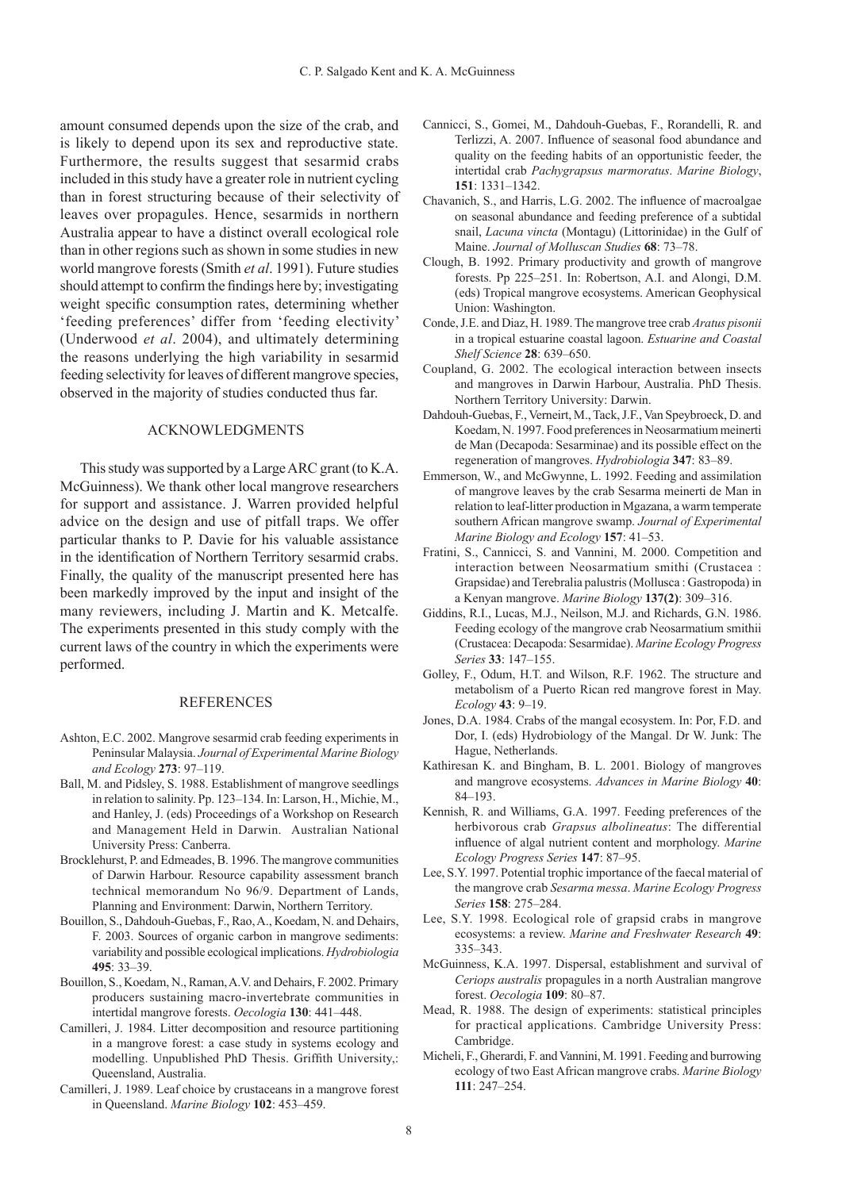amount consumed depends upon the size of the crab, and is likely to depend upon its sex and reproductive state. Furthermore, the results suggest that sesarmid crabs included in this study have a greater role in nutrient cycling than in forest structuring because of their selectivity of leaves over propagules. Hence, sesarmids in northern Australia appear to have a distinct overall ecological role than in other regions such as shown in some studies in new world mangrove forests (Smith *et al*. 1991). Future studies should attempt to confirm the findings here by; investigating weight specific consumption rates, determining whether 'feeding preferences' differ from 'feeding electivity' (Underwood *et al*. 2004), and ultimately determining the reasons underlying the high variability in sesarmid feeding selectivity for leaves of different mangrove species, observed in the majority of studies conducted thus far.

# Acknowledgments

This study was supported by a Large ARC grant (to K.A. McGuinness). We thank other local mangrove researchers for support and assistance. J. Warren provided helpful advice on the design and use of pitfall traps. We offer particular thanks to P. Davie for his valuable assistance in the identification of Northern Territory sesarmid crabs. Finally, the quality of the manuscript presented here has been markedly improved by the input and insight of the many reviewers, including J. Martin and K. Metcalfe. The experiments presented in this study comply with the current laws of the country in which the experiments were performed.

# **REFERENCES**

- Ashton, E.C. 2002. Mangrove sesarmid crab feeding experiments in Peninsular Malaysia. *Journal of Experimental Marine Biology and Ecology* **273**: 97–119.
- Ball, M. and Pidsley, S. 1988. Establishment of mangrove seedlings in relation to salinity. Pp. 123–134. In: Larson, H., Michie, M., and Hanley, J. (eds) Proceedings of a Workshop on Research and Management Held in Darwin. Australian National University Press: Canberra.
- Brocklehurst, P. and Edmeades, B. 1996. The mangrove communities of Darwin Harbour. Resource capability assessment branch technical memorandum No 96/9. Department of Lands, Planning and Environment: Darwin, Northern Territory.
- Bouillon, S., Dahdouh-Guebas, F., Rao, A., Koedam, N. and Dehairs, F. 2003. Sources of organic carbon in mangrove sediments: variability and possible ecological implications. *Hydrobiologia* **495**: 33–39.
- Bouillon, S., Koedam, N., Raman, A.V. and Dehairs, F. 2002. Primary producers sustaining macro-invertebrate communities in intertidal mangrove forests. *Oecologia* **130**: 441–448.
- Camilleri, J. 1984. Litter decomposition and resource partitioning in a mangrove forest: a case study in systems ecology and modelling. Unpublished PhD Thesis. Griffith University,: Queensland, Australia.
- Camilleri, J. 1989. Leaf choice by crustaceans in a mangrove forest in Queensland. *Marine Biology* **102**: 453–459.
- Cannicci, S., Gomei, M., Dahdouh-Guebas, F., Rorandelli, R. and Terlizzi, A. 2007. Influence of seasonal food abundance and quality on the feeding habits of an opportunistic feeder, the intertidal crab *Pachygrapsus marmoratus*. *Marine Biology*, **151**: 1331–1342.
- Chavanich, S., and Harris, L.G. 2002. The influence of macroalgae on seasonal abundance and feeding preference of a subtidal snail, *Lacuna vincta* (Montagu) (Littorinidae) in the Gulf of Maine. *Journal of Molluscan Studies* **68**: 73–78.
- Clough, B. 1992. Primary productivity and growth of mangrove forests. Pp 225–251. In: Robertson, A.I. and Alongi, D.M. (eds) Tropical mangrove ecosystems. American Geophysical Union: Washington.
- Conde, J.E. and Diaz, H. 1989. The mangrove tree crab *Aratus pisonii*  in a tropical estuarine coastal lagoon. *Estuarine and Coastal Shelf Science* **28**: 639–650.
- Coupland, G. 2002. The ecological interaction between insects and mangroves in Darwin Harbour, Australia. PhD Thesis. Northern Territory University: Darwin.
- Dahdouh-Guebas, F., Verneirt, M., Tack, J.F., Van Speybroeck, D. and Koedam, N. 1997. Food preferences in Neosarmatium meinerti de Man (Decapoda: Sesarminae) and its possible effect on the regeneration of mangroves. *Hydrobiologia* **347**: 83–89.
- Emmerson, W., and McGwynne, L. 1992. Feeding and assimilation of mangrove leaves by the crab Sesarma meinerti de Man in relation to leaf-litter production in Mgazana, a warm temperate southern African mangrove swamp. *Journal of Experimental Marine Biology and Ecology* **157**: 41–53.
- Fratini, S., Cannicci, S. and Vannini, M. 2000. Competition and interaction between Neosarmatium smithi (Crustacea : Grapsidae) and Terebralia palustris (Mollusca : Gastropoda) in a Kenyan mangrove. *Marine Biology* **137(2)**: 309–316.
- Giddins, R.I., Lucas, M.J., Neilson, M.J. and Richards, G.N. 1986. Feeding ecology of the mangrove crab Neosarmatium smithii (Crustacea: Decapoda: Sesarmidae). *Marine Ecology Progress Series* **33**: 147–155.
- Golley, F., Odum, H.T. and Wilson, R.F. 1962. The structure and metabolism of a Puerto Rican red mangrove forest in May. *Ecology* **43**: 9–19.
- Jones, D.A. 1984. Crabs of the mangal ecosystem. In: Por, F.D. and Dor, I. (eds) Hydrobiology of the Mangal. Dr W. Junk: The Hague, Netherlands.
- Kathiresan K. and Bingham, B. L. 2001. Biology of mangroves and mangrove ecosystems. *Advances in Marine Biology* **40**: 84–193.
- Kennish, R. and Williams, G.A. 1997. Feeding preferences of the herbivorous crab *Grapsus albolineatus*: The differential influence of algal nutrient content and morphology. *Marine Ecology Progress Series* **147**: 87–95.
- Lee, S.Y. 1997. Potential trophic importance of the faecal material of the mangrove crab *Sesarma messa*. *Marine Ecology Progress Series* **158**: 275–284.
- Lee, S.Y. 1998. Ecological role of grapsid crabs in mangrove ecosystems: a review. *Marine and Freshwater Research* **49**: 335–343.
- McGuinness, K.A. 1997. Dispersal, establishment and survival of *Ceriops australis* propagules in a north Australian mangrove forest. *Oecologia* **109**: 80–87.
- Mead, R. 1988. The design of experiments: statistical principles for practical applications. Cambridge University Press: Cambridge.
- Micheli, F., Gherardi, F. and Vannini, M. 1991. Feeding and burrowing ecology of two East African mangrove crabs. *Marine Biology*  **111**: 247–254.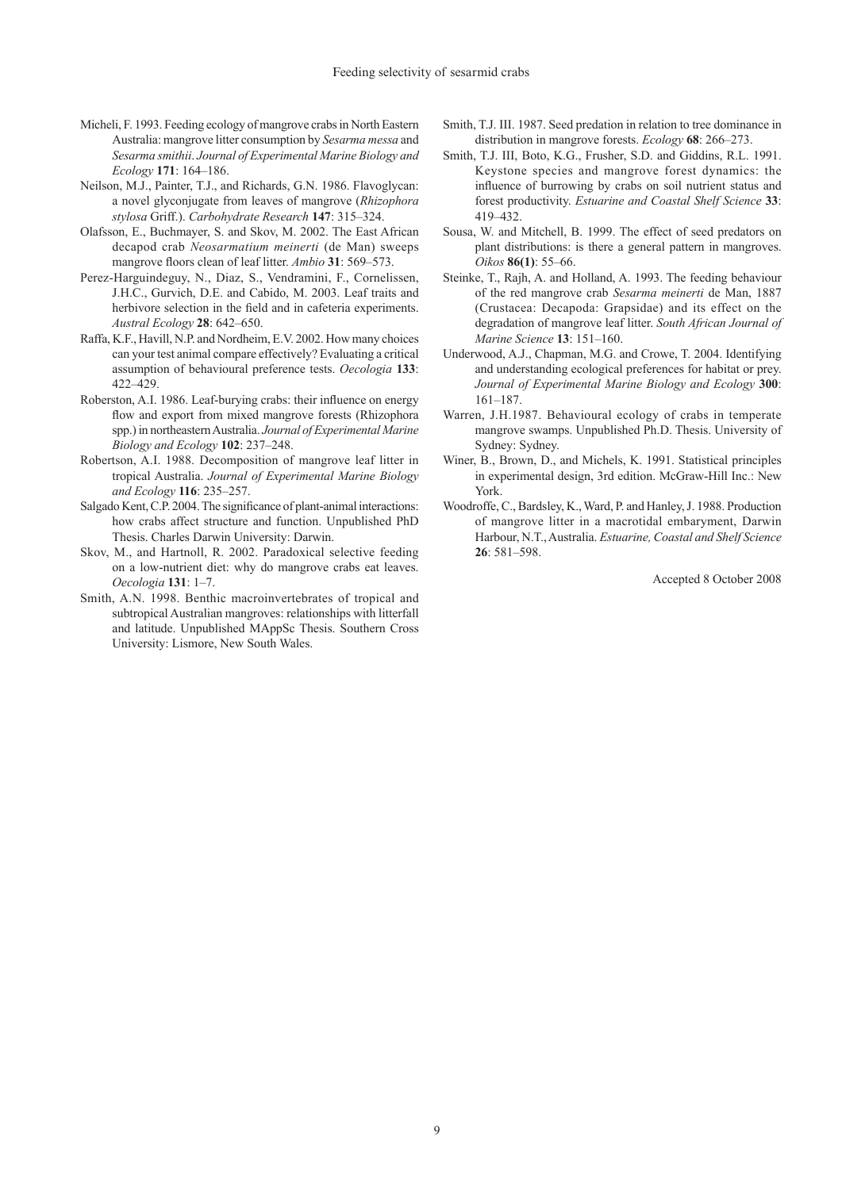- Micheli, F. 1993. Feeding ecology of mangrove crabs in North Eastern Australia: mangrove litter consumption by *Sesarma messa* and *Sesarma smithii*. *Journal of Experimental Marine Biology and Ecology* **171**: 164–186.
- Neilson, M.J., Painter, T.J., and Richards, G.N. 1986. Flavoglycan: a novel glyconjugate from leaves of mangrove (*Rhizophora stylosa* Griff.). *Carbohydrate Research* **147**: 315–324.
- Olafsson, E., Buchmayer, S. and Skov, M. 2002. The East African decapod crab *Neosarmatium meinerti* (de Man) sweeps mangrove floors clean of leaf litter. *Ambio* **31**: 569–573.
- Perez-Harguindeguy, N., Diaz, S., Vendramini, F., Cornelissen, J.H.C., Gurvich, D.E. and Cabido, M. 2003. Leaf traits and herbivore selection in the field and in cafeteria experiments. *Austral Ecology* **28**: 642–650.
- Raffa, K.F., Havill, N.P. and Nordheim, E.V. 2002. How many choices can your test animal compare effectively? Evaluating a critical assumption of behavioural preference tests. *Oecologia* **133**: 422–429.
- Roberston, A.I. 1986. Leaf-burying crabs: their influence on energy flow and export from mixed mangrove forests (Rhizophora spp.) in northeastern Australia. *Journal of Experimental Marine Biology and Ecology* **102**: 237–248.
- Robertson, A.I. 1988. Decomposition of mangrove leaf litter in tropical Australia. *Journal of Experimental Marine Biology and Ecology* **116**: 235–257.
- Salgado Kent, C.P. 2004. The significance of plant-animal interactions: how crabs affect structure and function. Unpublished PhD Thesis. Charles Darwin University: Darwin.
- Skov, M., and Hartnoll, R. 2002. Paradoxical selective feeding on a low-nutrient diet: why do mangrove crabs eat leaves. *Oecologia* **131**: 1–7.
- Smith, A.N. 1998. Benthic macroinvertebrates of tropical and subtropical Australian mangroves: relationships with litterfall and latitude. Unpublished MAppSc Thesis. Southern Cross University: Lismore, New South Wales.
- Smith, T.J. III. 1987. Seed predation in relation to tree dominance in distribution in mangrove forests. *Ecology* **68**: 266–273.
- Smith, T.J. III, Boto, K.G., Frusher, S.D. and Giddins, R.L. 1991. Keystone species and mangrove forest dynamics: the influence of burrowing by crabs on soil nutrient status and forest productivity. *Estuarine and Coastal Shelf Science* **33**: 419–432.
- Sousa, W. and Mitchell, B. 1999. The effect of seed predators on plant distributions: is there a general pattern in mangroves. *Oikos* **86(1)**: 55–66.
- Steinke, T., Rajh, A. and Holland, A. 1993. The feeding behaviour of the red mangrove crab *Sesarma meinerti* de Man, 1887 (Crustacea: Decapoda: Grapsidae) and its effect on the degradation of mangrove leaf litter. *South African Journal of Marine Science* **13**: 151–160.
- Underwood, A.J., Chapman, M.G. and Crowe, T. 2004. Identifying and understanding ecological preferences for habitat or prey. *Journal of Experimental Marine Biology and Ecology* **300**: 161–187.
- Warren, J.H.1987. Behavioural ecology of crabs in temperate mangrove swamps. Unpublished Ph.D. Thesis. University of Sydney: Sydney.
- Winer, B., Brown, D., and Michels, K. 1991. Statistical principles in experimental design, 3rd edition. McGraw-Hill Inc.: New York.
- Woodroffe, C., Bardsley, K., Ward, P. and Hanley, J. 1988. Production of mangrove litter in a macrotidal embaryment, Darwin Harbour, N.T., Australia. *Estuarine, Coastal and Shelf Science* **26**: 581–598.

Accepted 8 October 2008